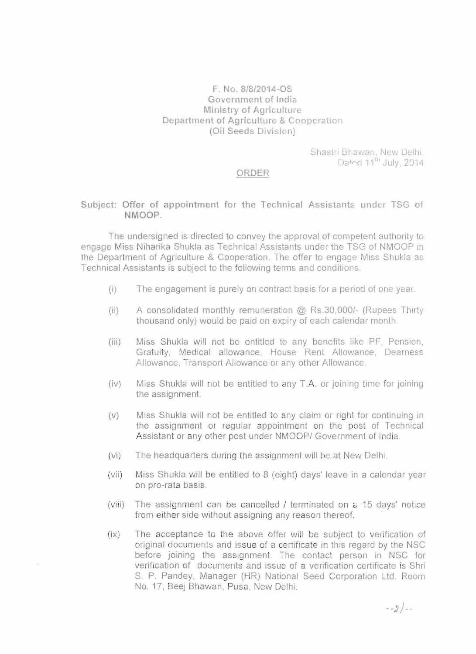## F. No. 8/8/2014-OS Government of India Ministry of Agriculture Department of Agriculture & Cooperation (Oil Seeds Division)

Shastri Bhawan, New Delhi, Dated 11<sup>th</sup> July, 2014

## **ORDER**

## Subject: Offer of appointment for the Technical Assistants under TSG of NMOOP.

The undersigned is directed to convey the approval of competent authority to engage Miss Niharika Shukla as Technical Assistants under the TSG of NMOOP in the Department of Agriculture & Cooperation. The offer to engage Miss Shukla as Technical Assistants is subject to the following terms and conditions.

- $(i)$  The engagement is purely on contract basis for a period of one year.
- (ii) A consolidated monthly remuneration @ Rs.30,OOO/- (Rupees Thirty thousand only) would be paid on expiry of each calendar month.
- (iii) Miss Shukla will not be entitled to any benefits like PF, Pension, Gratuity, Medical allowance, House Rent Allowance, Dearness Allowance, Transport Allowance or any other Allowance
- (iv) Miss Shukla will not be entitled to any TA or joining time for joining the assignment
- (v) Miss Shukla will not be entitled to any claim or right for continuing in the assignment or regular appointment on the post of Technical Assistant or any other post under NMOOP/ Government of India.
- (vi) The headquarters during the assignment will be at New Delhi.
- (vii) Miss Shukla will be entitled to 8 (eight) days' leave in a calendar year on pro-rata basis
- (viii) The assignment can be cancelled  $\ell$  terminated on  $\epsilon$  15 days' notice from either side without assigning any reason thereof.
- (ix) The acceptance to the above offer will be subject to verification of original documents and issue of a certificate in this regard by the NSC before joining the assignment The contact person in NSC for verification of documents and issue of a verification certificate is Shri S. P. Pandey, Manager (HR) National Seed Corporation Ltd. Room No. 17, Beej 8hawan, Pusa, New Delhi